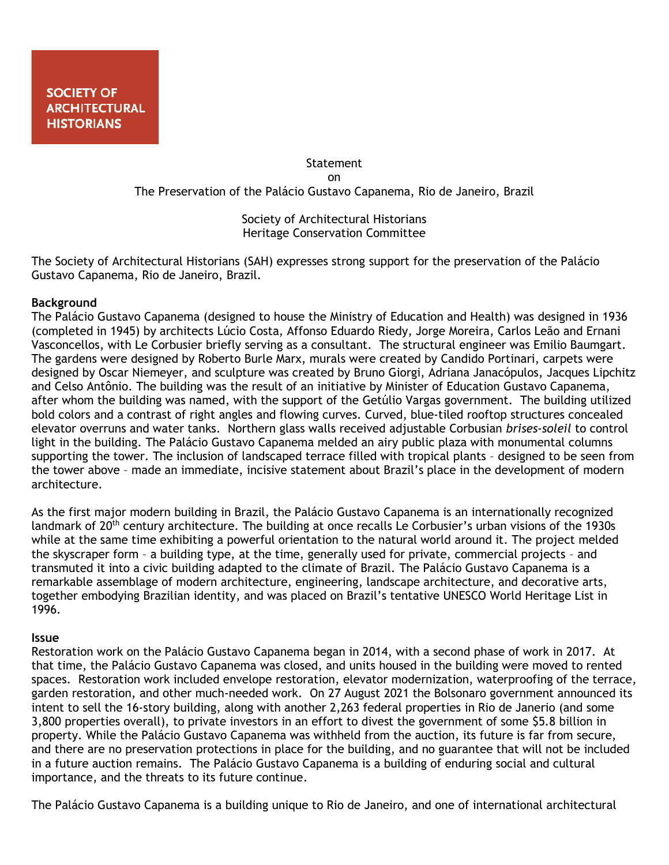## **Statement** on The Preservation of the Palácio Gustavo Capanema, Rio de Janeiro, Brazil

Society of Architectural Historians Heritage Conservation Committee

The Society of Architectural Historians (SAH) expresses strong support for the preservation of the Palácio Gustavo Capanema, Rio de Janeiro, Brazil.

## **Background**

The Palácio Gustavo Capanema (designed to house the Ministry of Education and Health) was designed in 1936 (completed in 1945) by architects Lúcio Costa, Affonso Eduardo Riedy, Jorge Moreira, Carlos Leão and Ernani Vasconcellos, with Le Corbusier briefly serving as a consultant. The structural engineer was Emilio Baumgart. The gardens were designed by Roberto Burle Marx, murals were created by Candido Portinari, carpets were designed by Oscar Niemeyer, and sculpture was created by Bruno Giorgi, Adriana Janacópulos, Jacques Lipchitz and Celso Antônio. The building was the result of an initiative by Minister of Education Gustavo Capanema, after whom the building was named, with the support of the Getúlio Vargas government. The building utilized bold colors and a contrast of right angles and flowing curves. Curved, blue-tiled rooftop structures concealed elevator overruns and water tanks. Northern glass walls received adjustable Corbusian *brises-soleil* to control light in the building. The Palácio Gustavo Capanema melded an airy public plaza with monumental columns supporting the tower. The inclusion of landscaped terrace filled with tropical plants – designed to be seen from the tower above – made an immediate, incisive statement about Brazil's place in the development of modern architecture.

As the first major modern building in Brazil, the Palácio Gustavo Capanema is an internationally recognized landmark of 20<sup>th</sup> century architecture. The building at once recalls Le Corbusier's urban visions of the 1930s while at the same time exhibiting a powerful orientation to the natural world around it. The project melded the skyscraper form – a building type, at the time, generally used for private, commercial projects – and transmuted it into a civic building adapted to the climate of Brazil. The Palácio Gustavo Capanema is a remarkable assemblage of modern architecture, engineering, landscape architecture, and decorative arts, together embodying Brazilian identity, and was placed on Brazil's tentative UNESCO World Heritage List in 1996.

## **Issue**

Restoration work on the Palácio Gustavo Capanema began in 2014, with a second phase of work in 2017. At that time, the Palácio Gustavo Capanema was closed, and units housed in the building were moved to rented spaces. Restoration work included envelope restoration, elevator modernization, waterproofing of the terrace, garden restoration, and other much-needed work. On 27 August 2021 the Bolsonaro government announced its intent to sell the 16-story building, along with another 2,263 federal properties in Rio de Janerio (and some 3,800 properties overall), to private investors in an effort to divest the government of some \$5.8 billion in property. While the Palácio Gustavo Capanema was withheld from the auction, its future is far from secure, and there are no preservation protections in place for the building, and no guarantee that will not be included in a future auction remains. The Palácio Gustavo Capanema is a building of enduring social and cultural importance, and the threats to its future continue.

The Palácio Gustavo Capanema is a building unique to Rio de Janeiro, and one of international architectural